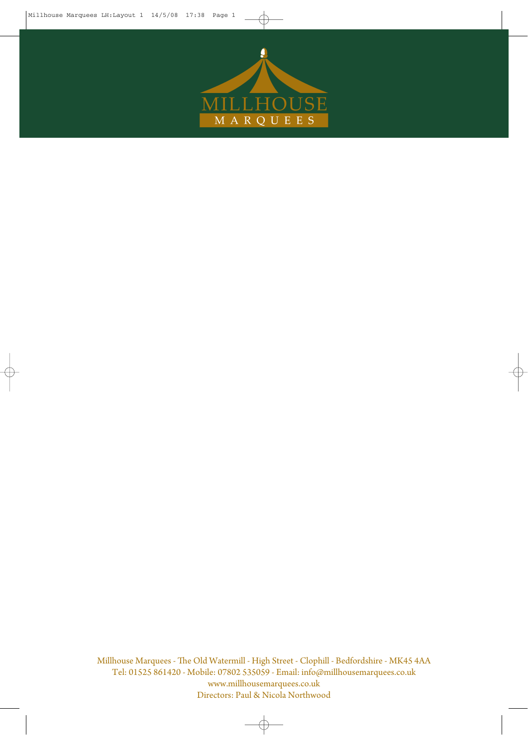

Millhouse Marquees - The Old Watermill - High Street - Clophill - Bedfordshire - MK45 4AA Tel: 01525 861420 - Mobile: 07802 535059 - Email: info@millhousemarquees.co.uk www.millhousemarquees.co.uk Directors: Paul & Nicola Northwood